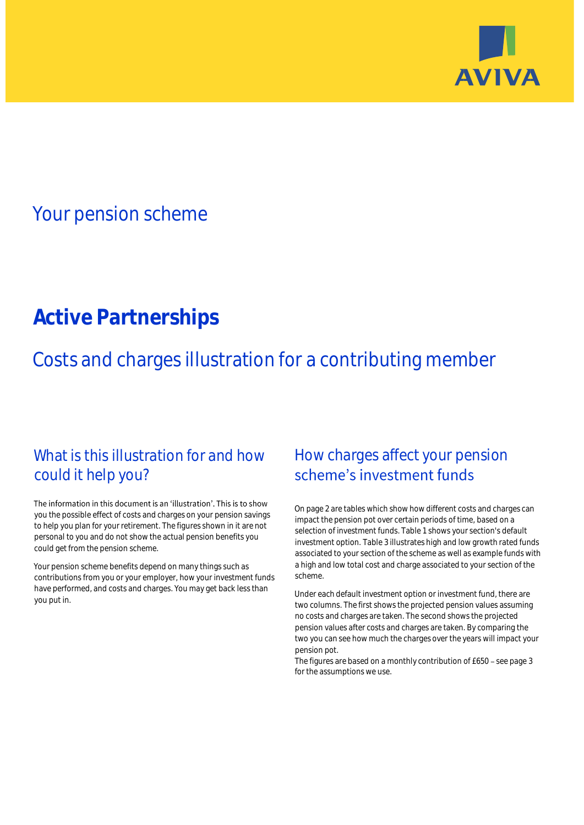

## Your pension scheme

# **Active Partnerships**

Costs and charges illustration for a contributing member

### What is this illustration for and how could it help you?

#### The information in this document is an 'illustration'. This is to show you the possible effect of costs and charges on your pension savings to help you plan for your retirement. The figures shown in it are not personal to you and do not show the actual pension benefits you could get from the pension scheme.

Your pension scheme benefits depend on many things such as contributions from you or your employer, how your investment funds have performed, and costs and charges. You may get back less than you put in.

### How charges affect your pension scheme's investment funds

On page 2 are tables which show how different costs and charges can impact the pension pot over certain periods of time, based on a selection of investment funds. Table 1 shows your section's default investment option. Table 3 illustrates high and low growth rated funds associated to your section of the scheme as well as example funds with a high and low total cost and charge associated to your section of the scheme.

Under each default investment option or investment fund, there are two columns. The first shows the projected pension values assuming no costs and charges are taken. The second shows the projected pension values after costs and charges are taken. By comparing the two you can see how much the charges over the years will impact your pension pot.

The figures are based on a monthly contribution of  $£650 -$  see page 3 for the assumptions we use.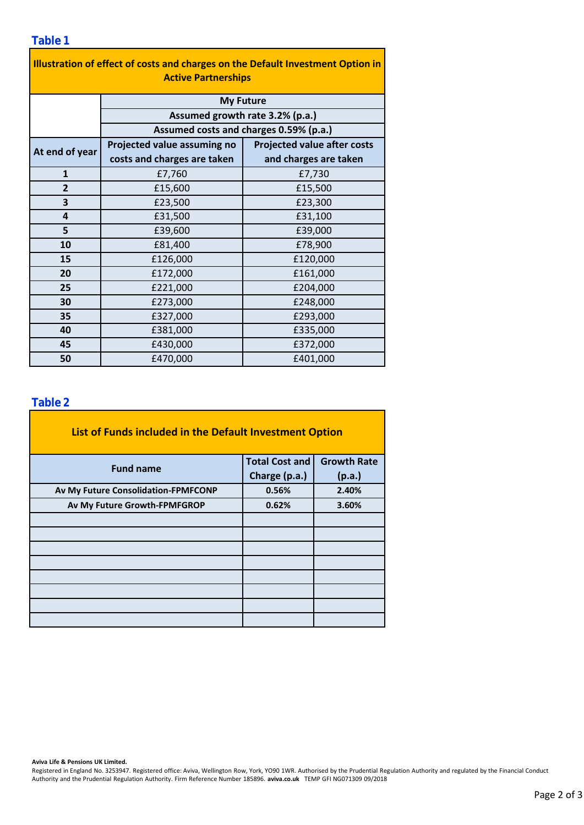| Illustration of effect of costs and charges on the Default Investment Option in<br><b>Active Partnerships</b> |                                        |                                    |  |  |  |  |
|---------------------------------------------------------------------------------------------------------------|----------------------------------------|------------------------------------|--|--|--|--|
|                                                                                                               | <b>My Future</b>                       |                                    |  |  |  |  |
|                                                                                                               | Assumed growth rate 3.2% (p.a.)        |                                    |  |  |  |  |
|                                                                                                               | Assumed costs and charges 0.59% (p.a.) |                                    |  |  |  |  |
| At end of year                                                                                                | Projected value assuming no            | <b>Projected value after costs</b> |  |  |  |  |
|                                                                                                               | costs and charges are taken            | and charges are taken              |  |  |  |  |
| $\mathbf{1}$                                                                                                  | £7,760                                 | £7,730                             |  |  |  |  |
| $\overline{2}$                                                                                                | £15,600                                | £15,500                            |  |  |  |  |
| 3                                                                                                             | £23,500                                | £23,300                            |  |  |  |  |
| 4                                                                                                             | £31,500                                | £31,100                            |  |  |  |  |
| 5                                                                                                             | £39,600                                | £39,000                            |  |  |  |  |
| 10                                                                                                            | £81,400                                | £78,900                            |  |  |  |  |
| 15                                                                                                            | £126,000                               | £120,000                           |  |  |  |  |
| 20                                                                                                            | £172,000                               | £161,000                           |  |  |  |  |
| 25                                                                                                            | £221,000                               | £204,000                           |  |  |  |  |
| 30                                                                                                            | £273,000                               | £248,000                           |  |  |  |  |
| 35                                                                                                            | £327,000                               | £293,000                           |  |  |  |  |
| 40                                                                                                            | £381,000                               | £335,000                           |  |  |  |  |
| 45                                                                                                            | £430,000                               | £372,000                           |  |  |  |  |
| 50                                                                                                            | £470,000                               | £401,000                           |  |  |  |  |

### **Table 2**

| List of Funds included in the Default Investment Option |                       |                    |
|---------------------------------------------------------|-----------------------|--------------------|
| <b>Fund name</b>                                        | <b>Total Cost and</b> | <b>Growth Rate</b> |
|                                                         | Charge (p.a.)         | (p.a.)             |
| Av My Future Consolidation-FPMFCONP                     | 0.56%                 | 2.40%              |
| Av My Future Growth-FPMFGROP                            | 0.62%                 | 3.60%              |
|                                                         |                       |                    |
|                                                         |                       |                    |
|                                                         |                       |                    |
|                                                         |                       |                    |
|                                                         |                       |                    |
|                                                         |                       |                    |
|                                                         |                       |                    |
|                                                         |                       |                    |

#### **Aviva Life & Pensions UK Limited.**

Registered in England No. 3253947. Registered office: Aviva, Wellington Row, York, YO90 1WR. Authorised by the Prudential Regulation Authority and regulated by the Financial Conduct Authority and the Prudential Regulation Authority. Firm Reference Number 185896. **aviva.co.uk** TEMP GFI NG071309 09/2018